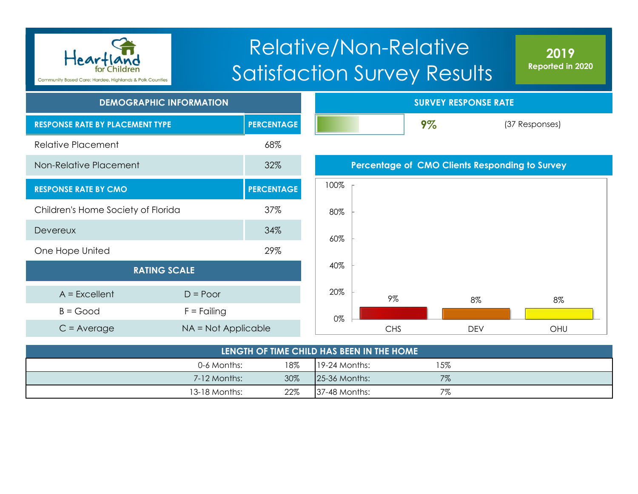

# Relative/Non-Relative Satisfaction Survey Results

**2019 Reported in 2020**

| <b>DEMOGRAPHIC INFORMATION</b>         |                     |                   |      |                                                | <b>SURVEY RESPONSE RATE</b> |            |
|----------------------------------------|---------------------|-------------------|------|------------------------------------------------|-----------------------------|------------|
| <b>RESPONSE RATE BY PLACEMENT TYPE</b> |                     | <b>PERCENTAGE</b> |      |                                                | 9%                          |            |
| <b>Relative Placement</b>              |                     | 68%               |      |                                                |                             |            |
| Non-Relative Placement                 |                     | 32%               |      | Percentage of CMO Clients Responding to Survey |                             |            |
| <b>RESPONSE RATE BY CMO</b>            |                     | <b>PERCENTAGE</b> | 100% |                                                |                             |            |
| Children's Home Society of Florida     |                     | 37%               | 80%  |                                                |                             |            |
| <b>Devereux</b>                        |                     | 34%               | 60%  |                                                |                             |            |
| One Hope United                        |                     | 29%               |      |                                                |                             |            |
| <b>RATING SCALE</b>                    |                     |                   | 40%  |                                                |                             |            |
| $A = Excellent$                        | $D = Poor$          |                   | 20%  | 9%                                             |                             | 8%         |
| $B = Good$                             | $F =$ Failing       |                   | 0%   |                                                |                             |            |
| $C = Average$                          | NA = Not Applicable |                   |      | <b>CHS</b>                                     |                             | <b>DEV</b> |

| LENGTH OF TIME CHILD HAS BEEN IN THE HOME |     |                 |       |  |  |  |  |
|-------------------------------------------|-----|-----------------|-------|--|--|--|--|
| 0-6 Months:                               | 18% | $19-24$ Months: | 15%   |  |  |  |  |
| 7-12 Months:                              | 30% | $25-36$ Months: | $7\%$ |  |  |  |  |
| 13-18 Months:                             | 22% | $37-48$ Months: | 7%    |  |  |  |  |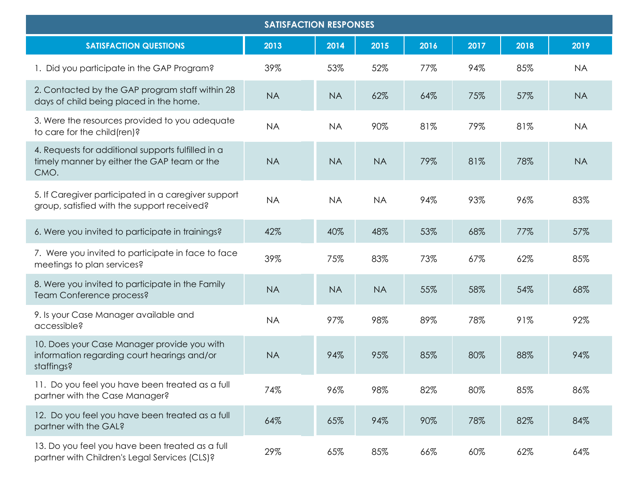|                                                                                                           | <b>SATISFACTION RESPONSES</b> |           |           |      |      |      |           |
|-----------------------------------------------------------------------------------------------------------|-------------------------------|-----------|-----------|------|------|------|-----------|
| <b>SATISFACTION QUESTIONS</b>                                                                             | 2013                          | 2014      | 2015      | 2016 | 2017 | 2018 | 2019      |
| 1. Did you participate in the GAP Program?                                                                | 39%                           | 53%       | 52%       | 77%  | 94%  | 85%  | <b>NA</b> |
| 2. Contacted by the GAP program staff within 28<br>days of child being placed in the home.                | <b>NA</b>                     | <b>NA</b> | 62%       | 64%  | 75%  | 57%  | <b>NA</b> |
| 3. Were the resources provided to you adequate<br>to care for the child(ren)?                             | <b>NA</b>                     | <b>NA</b> | 90%       | 81%  | 79%  | 81%  | <b>NA</b> |
| 4. Requests for additional supports fulfilled in a<br>timely manner by either the GAP team or the<br>CMO. | <b>NA</b>                     | <b>NA</b> | <b>NA</b> | 79%  | 81%  | 78%  | <b>NA</b> |
| 5. If Caregiver participated in a caregiver support<br>group, satisfied with the support received?        | <b>NA</b>                     | <b>NA</b> | <b>NA</b> | 94%  | 93%  | 96%  | 83%       |
| 6. Were you invited to participate in trainings?                                                          | 42%                           | 40%       | 48%       | 53%  | 68%  | 77%  | 57%       |
| 7. Were you invited to participate in face to face<br>meetings to plan services?                          | 39%                           | 75%       | 83%       | 73%  | 67%  | 62%  | 85%       |
| 8. Were you invited to participate in the Family<br>Team Conference process?                              | <b>NA</b>                     | <b>NA</b> | <b>NA</b> | 55%  | 58%  | 54%  | 68%       |
| 9. Is your Case Manager available and<br>accessible?                                                      | <b>NA</b>                     | 97%       | 98%       | 89%  | 78%  | 91%  | 92%       |
| 10. Does your Case Manager provide you with<br>information regarding court hearings and/or<br>staffings?  | <b>NA</b>                     | 94%       | 95%       | 85%  | 80%  | 88%  | 94%       |
| 11. Do you feel you have been treated as a full<br>partner with the Case Manager?                         | 74%                           | 96%       | 98%       | 82%  | 80%  | 85%  | 86%       |
| 12. Do you feel you have been treated as a full<br>partner with the GAL?                                  | 64%                           | 65%       | 94%       | 90%  | 78%  | 82%  | 84%       |
| 13. Do you feel you have been treated as a full<br>partner with Children's Legal Services (CLS)?          | 29%                           | 65%       | 85%       | 66%  | 60%  | 62%  | 64%       |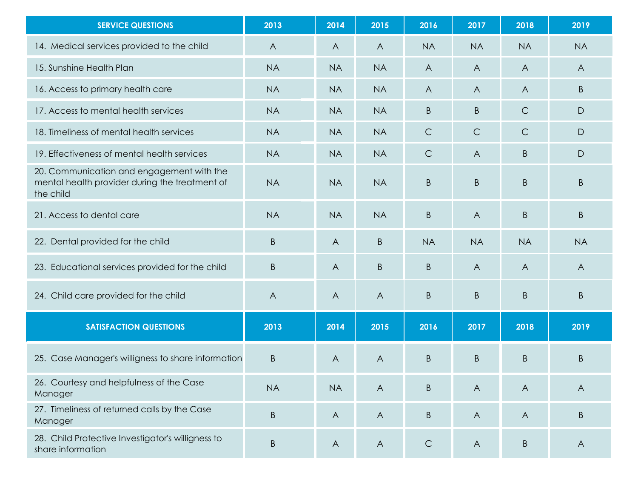| <b>SERVICE QUESTIONS</b>                                                                                 | 2013         | 2014           | 2015           | 2016           | 2017           | 2018           | 2019           |
|----------------------------------------------------------------------------------------------------------|--------------|----------------|----------------|----------------|----------------|----------------|----------------|
| 14. Medical services provided to the child                                                               | $\mathsf{A}$ | $\overline{A}$ | $\overline{A}$ | <b>NA</b>      | <b>NA</b>      | <b>NA</b>      | <b>NA</b>      |
| 15. Sunshine Health Plan                                                                                 | <b>NA</b>    | <b>NA</b>      | <b>NA</b>      | $\overline{A}$ | $\mathsf{A}$   | $\overline{A}$ | $\overline{A}$ |
| 16. Access to primary health care                                                                        | <b>NA</b>    | <b>NA</b>      | <b>NA</b>      | $\overline{A}$ | A              | $\overline{A}$ | B              |
| 17. Access to mental health services                                                                     | <b>NA</b>    | <b>NA</b>      | <b>NA</b>      | B              | B              | $\mathsf{C}$   | D              |
| 18. Timeliness of mental health services                                                                 | <b>NA</b>    | <b>NA</b>      | <b>NA</b>      | $\mathsf C$    | $\mathsf{C}$   | $\mathsf C$    | $\mathsf{D}$   |
| 19. Effectiveness of mental health services                                                              | <b>NA</b>    | <b>NA</b>      | <b>NA</b>      | $\mathsf C$    | $\overline{A}$ | B              | $\mathsf{D}$   |
| 20. Communication and engagement with the<br>mental health provider during the treatment of<br>the child | <b>NA</b>    | <b>NA</b>      | <b>NA</b>      | B              | B              | $\mathsf B$    | B              |
| 21. Access to dental care                                                                                | <b>NA</b>    | <b>NA</b>      | <b>NA</b>      | B              | $\overline{A}$ | B              | B              |
| 22. Dental provided for the child                                                                        | $\sf B$      | $\overline{A}$ | B              | <b>NA</b>      | <b>NA</b>      | <b>NA</b>      | <b>NA</b>      |
| 23. Educational services provided for the child                                                          | $\sf B$      | A              | B              | B              | $\overline{A}$ | $\overline{A}$ | $\overline{A}$ |
| 24. Child care provided for the child                                                                    | A            | A              | $\overline{A}$ | B              | B              | $\mathsf B$    | $\sf B$        |
| <b>SATISFACTION QUESTIONS</b>                                                                            | 2013         | 2014           | 2015           | 2016           | 2017           | 2018           | 2019           |
| 25. Case Manager's willigness to share information                                                       | $\sf B$      | $\overline{A}$ | $\overline{A}$ | B              | B              | $\sf B$        | $\sf B$        |
| 26. Courtesy and helpfulness of the Case<br>Manager                                                      | <b>NA</b>    | <b>NA</b>      | $\overline{A}$ | B              | $\mathsf{A}$   | $\overline{A}$ | $\overline{A}$ |
| 27. Timeliness of returned calls by the Case<br>Manager                                                  | $\sf B$      | $\mathsf{A}$   | $\mathsf{A}$   | Β              | $\mathsf{A}$   | $\overline{A}$ | B              |
| 28. Child Protective Investigator's willigness to<br>share information                                   | $\sf B$      | $\mathsf{A}$   | $\bigwedge$    | $\mathsf{C}$   | $\mathsf{A}$   | B              | $\mathsf{A}$   |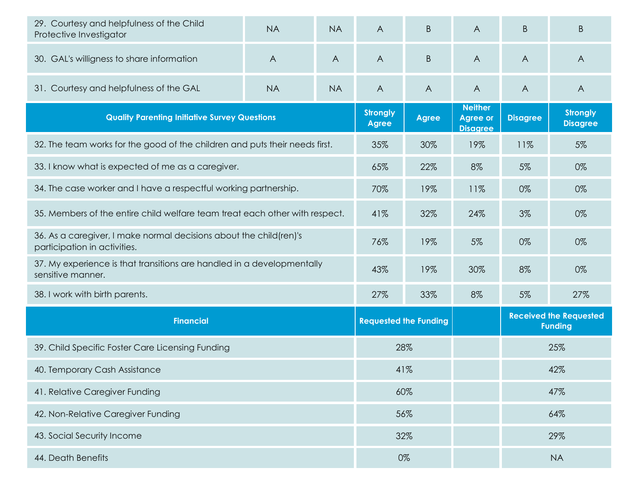| 29. Courtesy and helpfulness of the Child<br>Protective Investigator                               | <b>NA</b>      | <b>NA</b>      | $\overline{A}$ | B                            | $\overline{A}$                                       | B               | B                                               |
|----------------------------------------------------------------------------------------------------|----------------|----------------|----------------|------------------------------|------------------------------------------------------|-----------------|-------------------------------------------------|
| 30. GAL's willigness to share information                                                          | $\overline{A}$ | $\overline{A}$ | A              | B                            | $\overline{A}$                                       | $\overline{A}$  | $\overline{A}$                                  |
| 31. Courtesy and helpfulness of the GAL                                                            | <b>NA</b>      | <b>NA</b>      | $\overline{A}$ | $\overline{A}$               | $\overline{A}$                                       | $\overline{A}$  | $\overline{A}$                                  |
| <b>Quality Parenting Initiative Survey Questions</b>                                               |                |                |                | <b>Agree</b>                 | <b>Neither</b><br><b>Agree or</b><br><b>Disagree</b> | <b>Disagree</b> | <b>Strongly</b><br><b>Disagree</b>              |
| 32. The team works for the good of the children and puts their needs first.                        |                |                | 35%            | 30%                          | 19%                                                  | 11%             | 5%                                              |
| 33. I know what is expected of me as a caregiver.                                                  |                |                | 65%            | 22%                          | 8%                                                   | 5%              | 0%                                              |
| 34. The case worker and I have a respectful working partnership.                                   |                |                | 70%            | 19%                          | 11%                                                  | 0%              | 0%                                              |
| 35. Members of the entire child welfare team treat each other with respect.                        |                |                |                | 32%                          | 24%                                                  | 3%              | 0%                                              |
| 36. As a caregiver, I make normal decisions about the child(ren)'s<br>participation in activities. |                |                | 76%            | 19%                          | 5%                                                   | 0%              | 0%                                              |
| 37. My experience is that transitions are handled in a developmentally<br>sensitive manner.        |                |                |                | 19%                          | 30%                                                  | 8%              | 0%                                              |
| 38. I work with birth parents.                                                                     |                |                | 27%            | 33%                          | 8%                                                   | 5%              | 27%                                             |
| <b>Financial</b>                                                                                   |                |                |                | <b>Requested the Funding</b> |                                                      |                 | <b>Received the Requested</b><br><b>Funding</b> |
| 39. Child Specific Foster Care Licensing Funding                                                   |                |                |                | 28%                          |                                                      | 25%             |                                                 |
| 40. Temporary Cash Assistance                                                                      |                |                |                | 41%                          |                                                      | 42%             |                                                 |
| 41. Relative Caregiver Funding                                                                     |                |                | 60%            |                              |                                                      | 47%             |                                                 |
| 42. Non-Relative Caregiver Funding                                                                 |                |                | 56%            |                              |                                                      | 64%             |                                                 |
| 43. Social Security Income                                                                         |                |                |                | 32%                          |                                                      | 29%             |                                                 |
| 44. Death Benefits                                                                                 |                |                |                | 0%                           |                                                      |                 | <b>NA</b>                                       |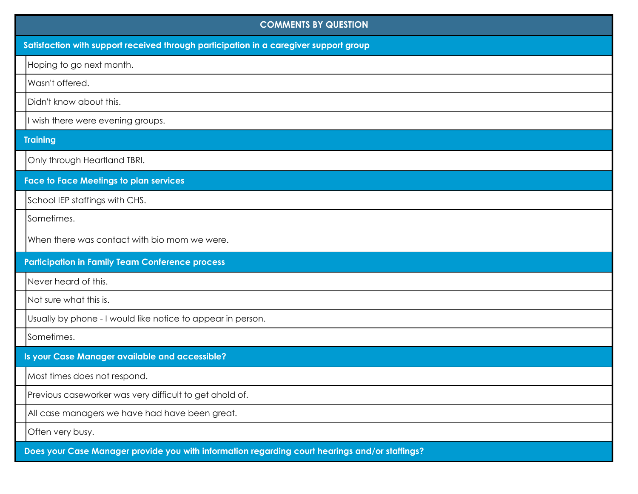| <b>COMMENTS BY QUESTION</b>                                                                    |
|------------------------------------------------------------------------------------------------|
| Satisfaction with support received through participation in a caregiver support group          |
| Hoping to go next month.                                                                       |
| Wasn't offered.                                                                                |
| Didn't know about this.                                                                        |
| I wish there were evening groups.                                                              |
| <b>Training</b>                                                                                |
| Only through Heartland TBRI.                                                                   |
| <b>Face to Face Meetings to plan services</b>                                                  |
| School IEP staffings with CHS.                                                                 |
| Sometimes.                                                                                     |
| When there was contact with bio mom we were.                                                   |
| <b>Participation in Family Team Conference process</b>                                         |
| Never heard of this.                                                                           |
| Not sure what this is.                                                                         |
| Usually by phone - I would like notice to appear in person.                                    |
| Sometimes.                                                                                     |
| Is your Case Manager available and accessible?                                                 |
| Most times does not respond.                                                                   |
| Previous caseworker was very difficult to get ahold of.                                        |
| All case managers we have had have been great.                                                 |
| Often very busy.                                                                               |
| Does your Case Manager provide you with information regarding court hearings and/or staffings? |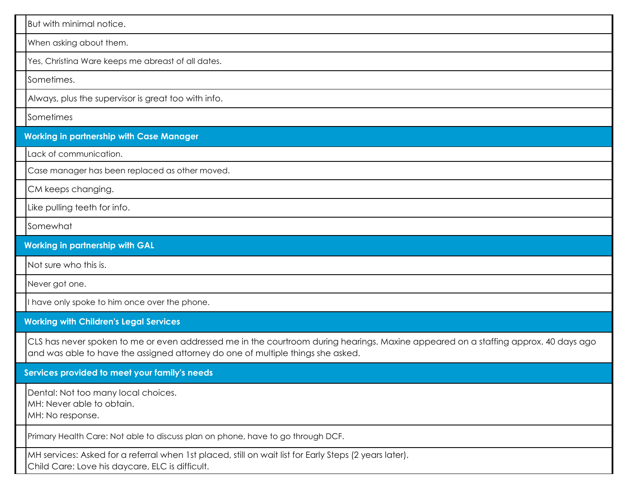| But with minimal notice.                                                                                                                                                                                               |
|------------------------------------------------------------------------------------------------------------------------------------------------------------------------------------------------------------------------|
| When asking about them.                                                                                                                                                                                                |
| Yes, Christina Ware keeps me abreast of all dates.                                                                                                                                                                     |
| Sometimes.                                                                                                                                                                                                             |
| Always, plus the supervisor is great too with info.                                                                                                                                                                    |
| Sometimes                                                                                                                                                                                                              |
| <b>Working in partnership with Case Manager</b>                                                                                                                                                                        |
| Lack of communication.                                                                                                                                                                                                 |
| Case manager has been replaced as other moved.                                                                                                                                                                         |
| CM keeps changing.                                                                                                                                                                                                     |
| Like pulling teeth for info.                                                                                                                                                                                           |
| Somewhat                                                                                                                                                                                                               |
| <b>Working in partnership with GAL</b>                                                                                                                                                                                 |
| Not sure who this is.                                                                                                                                                                                                  |
| Never got one.                                                                                                                                                                                                         |
| I have only spoke to him once over the phone.                                                                                                                                                                          |
| <b>Working with Children's Legal Services</b>                                                                                                                                                                          |
| CLS has never spoken to me or even addressed me in the courtroom during hearings. Maxine appeared on a staffing approx. 40 days ago<br>and was able to have the assigned attorney do one of multiple things she asked. |
| Services provided to meet your family's needs                                                                                                                                                                          |
| Dental: Not too many local choices.<br>MH: Never able to obtain.<br>MH: No response.                                                                                                                                   |
| Primary Health Care: Not able to discuss plan on phone, have to go through DCF.                                                                                                                                        |
| MH services: Asked for a referral when 1st placed, still on wait list for Early Steps (2 years later).<br>Child Care: Love his daycare, ELC is difficult.                                                              |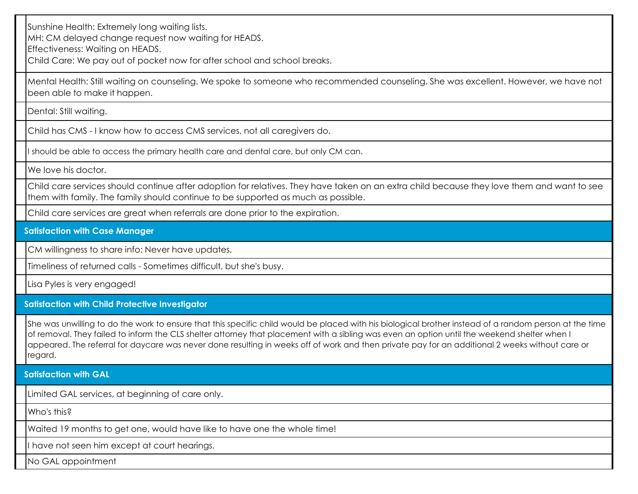Sunshine Health: Extremely long waiting lists.

MH: CM delayed change request now waiting for HEADS.

Effectiveness: Waiting on HEADS.

Child Care: We pay out of pocket now for after school and school breaks.

Mental Health: Still waiting on counseling. We spoke to someone who recommended counseling. She was excellent. However, we have not been able to make it happen.

Dental: Still waiting.

Child has CMS - I know how to access CMS services, not all caregivers do.

I should be able to access the primary health care and dental care, but only CM can.

We love his doctor.

Child care services should continue after adoption for relatives. They have taken on an extra child because they love them and want to see them with family. The family should continue to be supported as much as possible.

Child care services are great when referrals are done prior to the expiration.

## **Satisfaction with Case Manager**

CM willingness to share info: Never have updates.

Timeliness of returned calls - Sometimes difficult, but she's busy.

Lisa Pyles is very engaged!

### **Satisfaction with Child Protective Investigator**

She was unwilling to do the work to ensure that this specific child would be placed with his biological brother instead of a random person at the time of removal. They failed to inform the CLS shelter attorney that placement with a sibling was even an option until the weekend shelter when I appeared. The referral for daycare was never done resulting in weeks off of work and then private pay for an additional 2 weeks without care or regard.

### **Satisfaction with GAL**

Limited GAL services, at beginning of care only.

Who's this?

Waited 19 months to get one, would have like to have one the whole time!

I have not seen him except at court hearings.

No GAL appointment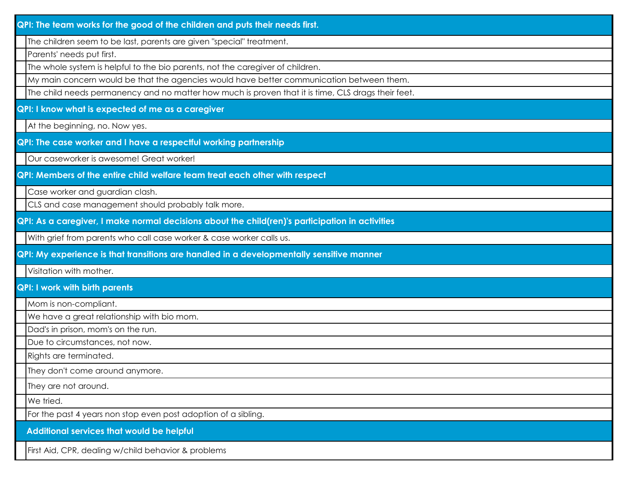| QPI: The team works for the good of the children and puts their needs first.                       |
|----------------------------------------------------------------------------------------------------|
| The children seem to be last, parents are given "special" treatment.                               |
| Parents' needs put first.                                                                          |
| The whole system is helpful to the bio parents, not the caregiver of children.                     |
| My main concern would be that the agencies would have better communication between them.           |
| The child needs permanency and no matter how much is proven that it is time, CLS drags their feet. |
| QPI: I know what is expected of me as a caregiver                                                  |
| At the beginning, no. Now yes.                                                                     |
| QPI: The case worker and I have a respectful working partnership                                   |
| Our caseworker is awesome! Great worker!                                                           |
| QPI: Members of the entire child welfare team treat each other with respect                        |
| Case worker and guardian clash.                                                                    |
| CLS and case management should probably talk more.                                                 |
| QPI: As a caregiver, I make normal decisions about the child(ren)'s participation in activities    |
| With grief from parents who call case worker & case worker calls us.                               |
| QPI: My experience is that transitions are handled in a developmentally sensitive manner           |
| Visitation with mother.                                                                            |
| <b>QPI: I work with birth parents</b>                                                              |
| Mom is non-compliant.                                                                              |
| We have a great relationship with bio mom.                                                         |
| Dad's in prison, mom's on the run.                                                                 |
| Due to circumstances, not now.                                                                     |
| Rights are terminated.                                                                             |
| They don't come around anymore.                                                                    |
| They are not around.                                                                               |
| We tried.                                                                                          |
| For the past 4 years non stop even post adoption of a sibling.                                     |
| Additional services that would be helpful                                                          |
| First Aid, CPR, dealing w/child behavior & problems                                                |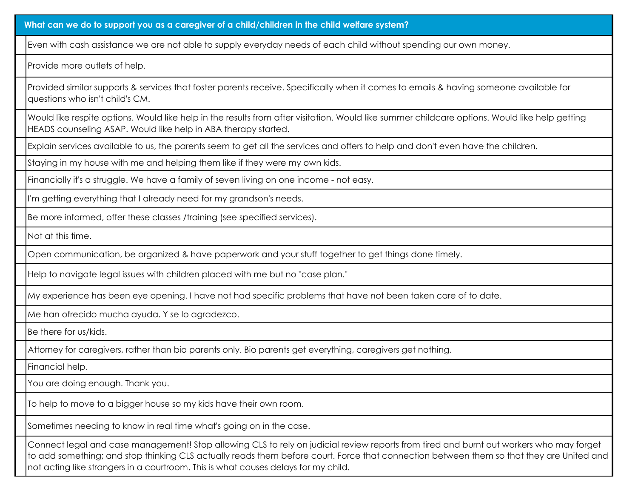**What can we do to support you as a caregiver of a child/children in the child welfare system?**

Even with cash assistance we are not able to supply everyday needs of each child without spending our own money.

Provide more outlets of help.

Provided similar supports & services that foster parents receive. Specifically when it comes to emails & having someone available for questions who isn't child's CM.

Would like respite options. Would like help in the results from after visitation. Would like summer childcare options. Would like help getting HEADS counseling ASAP. Would like help in ABA therapy started.

Explain services available to us, the parents seem to get all the services and offers to help and don't even have the children.

Staying in my house with me and helping them like if they were my own kids.

Financially it's a struggle. We have a family of seven living on one income - not easy.

I'm getting everything that I already need for my grandson's needs.

Be more informed, offer these classes /training (see specified services).

Not at this time.

Open communication, be organized & have paperwork and your stuff together to get things done timely.

Help to navigate legal issues with children placed with me but no "case plan."

My experience has been eye opening. I have not had specific problems that have not been taken care of to date.

Me han ofrecido mucha ayuda. Y se lo agradezco.

Be there for us/kids.

Attorney for caregivers, rather than bio parents only. Bio parents get everything, caregivers get nothing.

Financial help.

You are doing enough. Thank you.

To help to move to a bigger house so my kids have their own room.

Sometimes needing to know in real time what's going on in the case.

Connect legal and case management! Stop allowing CLS to rely on judicial review reports from tired and burnt out workers who may forget to add something; and stop thinking CLS actually reads them before court. Force that connection between them so that they are United and not acting like strangers in a courtroom. This is what causes delays for my child.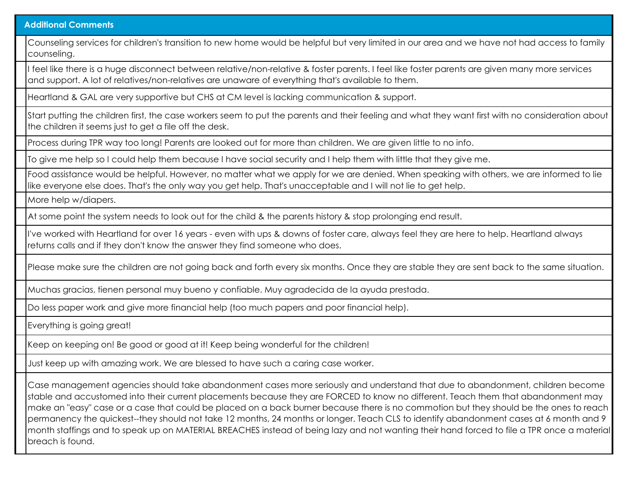#### **Additional Comments**

Counseling services for children's transition to new home would be helpful but very limited in our area and we have not had access to family counseling.

I feel like there is a huge disconnect between relative/non-relative & foster parents. I feel like foster parents are given many more services and support. A lot of relatives/non-relatives are unaware of everything that's available to them.

Heartland & GAL are very supportive but CHS at CM level is lacking communication & support.

Start putting the children first, the case workers seem to put the parents and their feeling and what they want first with no consideration about the children it seems just to get a file off the desk.

Process during TPR way too long! Parents are looked out for more than children. We are given little to no info.

To give me help so I could help them because I have social security and I help them with little that they give me.

Food assistance would be helpful. However, no matter what we apply for we are denied. When speaking with others, we are informed to lie like everyone else does. That's the only way you get help. That's unacceptable and I will not lie to get help.

More help w/diapers.

At some point the system needs to look out for the child & the parents history & stop prolonging end result.

I've worked with Heartland for over 16 years - even with ups & downs of foster care, always feel they are here to help. Heartland always returns calls and if they don't know the answer they find someone who does.

Please make sure the children are not going back and forth every six months. Once they are stable they are sent back to the same situation.

Muchas gracias, tienen personal muy bueno y confiable. Muy agradecida de la ayuda prestada.

Do less paper work and give more financial help (too much papers and poor financial help).

Everything is going great!

Keep on keeping on! Be good or good at it! Keep being wonderful for the children!

Just keep up with amazing work. We are blessed to have such a caring case worker.

Case management agencies should take abandonment cases more seriously and understand that due to abandonment, children become stable and accustomed into their current placements because they are FORCED to know no different. Teach them that abandonment may make an "easy" case or a case that could be placed on a back burner because there is no commotion but they should be the ones to reach permanency the quickest--they should not take 12 months, 24 months or longer. Teach CLS to identify abandonment cases at 6 month and 9 month staffings and to speak up on MATERIAL BREACHES instead of being lazy and not wanting their hand forced to file a TPR once a material breach is found.